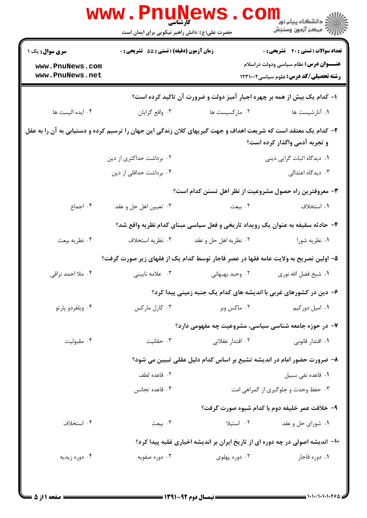|                                                              | <b>WWW . PN</b><br><b>کارشناسی</b><br>حضرت علی(ع): دانش راهبر نیکویی برای ایمان است                           |                                                                          | رد دانشڪاه پيام نور ■<br>ا∛ مرکز آزمون وسنڊش                                                                                                |
|--------------------------------------------------------------|---------------------------------------------------------------------------------------------------------------|--------------------------------------------------------------------------|---------------------------------------------------------------------------------------------------------------------------------------------|
| <b>سری سوال :</b> یک ۱<br>www.PnuNews.com<br>www.PnuNews.net | زمان آزمون (دقیقه) : تستی : 55 تشریحی : 0                                                                     |                                                                          | <b>تعداد سوالات : تستي : 40 قشريحي : 0</b><br><b>عنـــوان درس:</b> نظام سیاسی ودولت دراسلام<br><b>رشته تحصیلی/کد درس:</b> علوم سیاسی1۲۳۱۰۰۲ |
|                                                              |                                                                                                               | ا- کدام یک بیش از همه بر چهره اجبار آمیز دولت و ضرورت آن تاکید کرده است؟ |                                                                                                                                             |
| ۰۴ ایده الیست ها                                             | ۰۳ واقع گرايان                                                                                                | ۰۲ مارکسیست ها                                                           | ۰۱ آنارشیست ها                                                                                                                              |
|                                                              | ۲- کدام یک معتقد است که شریعت اهداف و جهت گیریهای کلان زندگی این جهان را ترسیم کرده و دستیابی به آن را به عقل |                                                                          | و تجربه آدمی واگذار کرده است؟                                                                                                               |
|                                                              | ۰۲ برداشت حداکثری از دین                                                                                      |                                                                          | ۰۱ دیدگاه اثبات گرایی دینی                                                                                                                  |
|                                                              | ۰۴ برداشت حداقلی از دین                                                                                       |                                                                          | ۰۳ دیدگاه اعتدالی                                                                                                                           |
|                                                              |                                                                                                               |                                                                          | ۳- معروفترین راه حصول مشروعیت از نظر اهل تسنن کدام است؟                                                                                     |
| ۰۴ اجماع                                                     | ۰۳ تعيين اهل حل و عقد                                                                                         | ۰۲ بیعت                                                                  | ۰۱ استخلاف                                                                                                                                  |
|                                                              |                                                                                                               |                                                                          | ۴- حادثه سقیفه به عنوان یک رویداد تاریخی و فعل سیاسی مبنای کدام نظریه واقع شد؟                                                              |
| ۰۴ نظريه بيعت                                                | ۰۳ نظریه استخلاف                                                                                              | ۰۲ نظریه اهل حل و عقد                                                    | ۰۱ نظریه شورا                                                                                                                               |
|                                                              | ۵– اولین تصریح به ولایت عامه فقها در عصر قاجار توسط کدام یک از فقهای زیر صورت گرفت؟                           |                                                                          |                                                                                                                                             |
| ۰۴ ملا احمد نراقی                                            | ۰۳ علامه نایینی                                                                                               | ۰۲ وحید بهبهانی                                                          | ٠١. شيخ فضل الله نوري                                                                                                                       |
|                                                              |                                                                                                               |                                                                          | ۶– دین در کشورهای غربی با اندیشه های کدام یک جنبه زمینی پیدا کرد؟                                                                           |
| ۰۴ ویلفردو پارتو                                             | ۰۳ کارل مارکس                                                                                                 | ۰۲ ماکس وبر                                                              | ۰۱ امیل دورکیم                                                                                                                              |
|                                                              |                                                                                                               |                                                                          | ۷- در حوزه جامعه شناسی سیاسی، مشروعیت چه مفهومی دارد؟                                                                                       |
| ۰۴ مقبوليت                                                   | ۰۳ حقانیت                                                                                                     | ۰۲ اقتدار عقلان <i>ی</i>                                                 | ۰۱ اقتدار قانونی                                                                                                                            |
|                                                              | ۸– ضرورت حضور امام در اندیشه تشیع بر اساس کدام دلیل عقلی تبیین می شود؟                                        |                                                                          |                                                                                                                                             |
|                                                              | ٠٢ قاعده لطف                                                                                                  |                                                                          | ۰۱ قاعده نفی سبیل                                                                                                                           |
|                                                              | ۰۴ قاعده تجانس                                                                                                |                                                                          | ۰۳ حفظ وحدت و جلوگیری از گمراهی امت                                                                                                         |
|                                                              |                                                                                                               |                                                                          | ۹- خلافت عمر خليفه دوم با كدام شيوه صورت گرفت؟                                                                                              |
| ۰۴ استخلاف                                                   | ۰۳ بیعت                                                                                                       | ۰۲ استیلا                                                                | ۰۱ شورای حل و عقد                                                                                                                           |
|                                                              |                                                                                                               |                                                                          | ۱۰− اندیشه اصولی در چه دوره ای از تاریخ ایران بر اندیشه اخباری غلبه پیدا کرد؟                                                               |
| ۰۴ دوره زیدیه                                                | ۰۳ دوره صفویه                                                                                                 | ۰۲ دوره پهلوی                                                            | ۰۱ دوره قاجار                                                                                                                               |
|                                                              |                                                                                                               |                                                                          |                                                                                                                                             |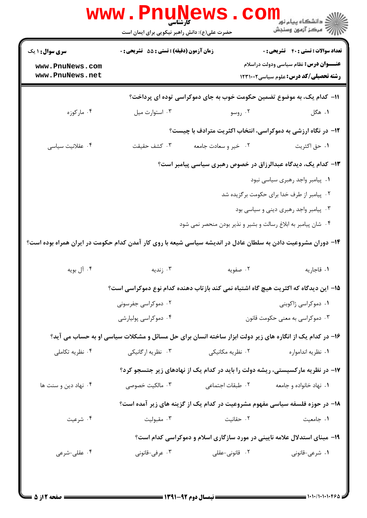|                                                                                                               | <b>www.PnuN</b><br><b>کارشناسی</b><br>حضرت علی(ع): دانش راهبر نیکویی برای ایمان است                     |                                                                                | ڪ دانشڪاه پيا <sub>م</sub> نور<br><mark>√</mark> مرڪز آزمون وسنڊش                                                                             |
|---------------------------------------------------------------------------------------------------------------|---------------------------------------------------------------------------------------------------------|--------------------------------------------------------------------------------|-----------------------------------------------------------------------------------------------------------------------------------------------|
| <b>سری سوال : ۱ یک</b><br>www.PnuNews.com<br>www.PnuNews.net                                                  | زمان آزمون (دقیقه) : تستی : 55 آتشریحی : 0                                                              |                                                                                | <b>تعداد سوالات : تستي : 40 - تشريحي : 0</b><br><b>عنـــوان درس:</b> نظام سیاسی ودولت دراسلام<br><b>رشته تحصیلی/کد درس:</b> علوم سیاسی1۲۳۱۰۰۲ |
|                                                                                                               |                                                                                                         | 1۱– کدام یک، به موضوع تضمین حکومت خوب به جای دموکراسی توده ای پرداخت؟          |                                                                                                                                               |
| ۰۴ مارکوزه                                                                                                    | ٠٣ استوارت ميل                                                                                          | ۰۲ روسو                                                                        | ۰۱ هگل                                                                                                                                        |
|                                                                                                               |                                                                                                         | <b>۱۲</b> - در نگاه ارزشی به دموکراسی، انتخاب اکثریت مترادف با چیست؟           |                                                                                                                                               |
| ۰۴ عقلانیت سیاسی                                                                                              | ۰۳ کشف حقیقت                                                                                            | ۰۲ خیر و سعادت جامعه                                                           | ٠١ حق اكثريت                                                                                                                                  |
|                                                                                                               |                                                                                                         |                                                                                | ۱۳- کدام یک، دیدگاه عبدالرزاق در خصوص رهبری سیاسی پیامبر است؟                                                                                 |
|                                                                                                               |                                                                                                         |                                                                                | ٠١ پيامبر واجد رهبري سياسي نبود                                                                                                               |
|                                                                                                               |                                                                                                         |                                                                                | ۰۲ پیامبر از طرف خدا برای حکومت برگزیده شد                                                                                                    |
|                                                                                                               |                                                                                                         |                                                                                | ۰۳ پیامبر واجد رهبری دینی و سیاسی بود                                                                                                         |
|                                                                                                               |                                                                                                         | ۰۴ شان پیامبر به ابلاغ رسالت و بشیر و نذیر بودن منحصر نمی شود                  |                                                                                                                                               |
| ۱۴– دوران مشروعیت دادن به سلطان عادل در اندیشه سیاسی شیعه با روی کار آمدن کدام حکومت در ایران همراه بوده است؟ |                                                                                                         |                                                                                |                                                                                                                                               |
| ۰۴ آل بويه                                                                                                    | ۰۳ زندیه                                                                                                | ۰۲ صفویه                                                                       | ٠١ قاجاريه                                                                                                                                    |
|                                                                                                               | 1۵– این دیدگاه که اکثریت هیچ گاه اشتباه نمی کند بازتاب دهنده کدام نوع دموکراسی است؟                     |                                                                                |                                                                                                                                               |
|                                                                                                               | ۰۲ دموکراسی جفرسونی                                                                                     |                                                                                | ۰۱ دموکراسی ژاکوبنی                                                                                                                           |
|                                                                                                               | ۰۴ دموکراسی پولیارشی                                                                                    |                                                                                | ۰۳ دموکراسی به معنی حکومت قانون $\cdot$ ۳                                                                                                     |
|                                                                                                               | ۱۶- در کدام یک از انگاره های زیر دولت ابزار ساخته انسان برای حل مسائل و مشکلات سیاسی او به حساب می آید؟ |                                                                                |                                                                                                                                               |
| ۰۴ نظریه تکاملی                                                                                               | ۰۳ نظریه ارگانیکی                                                                                       | ۰۲ نظریه مکانیکی                                                               | ۰۱ نظریه اندامواره                                                                                                                            |
|                                                                                                               |                                                                                                         | ۱۷- در نظریه مارکسیستی، ریشه دولت را باید در کدام یک از نهادهای زیر جتسجو کرد؟ |                                                                                                                                               |
| ۰۴ نهاد دین و سنت ها                                                                                          | ۰۳ مالکیت خصوصی                                                                                         | ٢. طبقات اجتماعي                                                               | ۰۱ نهاد خانواده و جامعه                                                                                                                       |
|                                                                                                               |                                                                                                         | ۱۸- در حوزه فلسفه سیاسی مفهوم مشروعیت در کدام یک از گزینه های زیر آمده است؟    |                                                                                                                                               |
| ۰۴ شرعیت                                                                                                      | ۰۳ مقبولیت                                                                                              | ۰۲ حقانیت                                                                      | ٠١ جامعيت                                                                                                                                     |
|                                                                                                               |                                                                                                         | ۱۹- مبنای استدلال علامه نایینی در مورد سازگاری اسلام و دموکراسی کدام است؟      |                                                                                                                                               |
| ۰۴ عقلی-شرعی                                                                                                  | ۰۳ عرفی-قانونی                                                                                          | ۰۲ قانونی-عقلی                                                                 | ۰۱ شرعی-قانونی                                                                                                                                |
|                                                                                                               |                                                                                                         |                                                                                |                                                                                                                                               |
|                                                                                                               |                                                                                                         |                                                                                |                                                                                                                                               |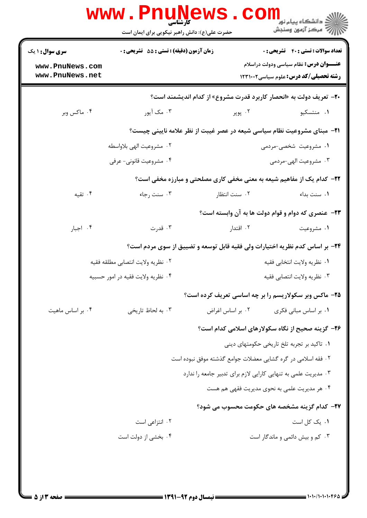|                                                              | <b>WWW.PNUNGWS</b><br>حضرت علی(ع): دانش راهبر نیکویی برای ایمان است |                                                                                 | <mark>د</mark> دانشگاه پيام نو <mark>ر</mark><br>ے<br>کا مرکز آزمون وسنجش                                                                   |
|--------------------------------------------------------------|---------------------------------------------------------------------|---------------------------------------------------------------------------------|---------------------------------------------------------------------------------------------------------------------------------------------|
| <b>سری سوال : ۱ یک</b><br>www.PnuNews.com<br>www.PnuNews.net | زمان آزمون (دقیقه) : تستی : 55 تشریحی : 0                           |                                                                                 | تعداد سوالات : تستى : 40 - تشريحي : 0<br><b>عنـــوان درس:</b> نظام سیاسی ودولت دراسلام<br><b>رشته تحصیلی/کد درس: علوم سیاسی2022 ۱۲۳۱۰۰۲</b> |
|                                                              |                                                                     | <b>۲۰</b> - تعریف دولت به «انحصار کاربرد قدرت مشروع» از کدام اندیشمند است؟      |                                                                                                                                             |
| ۰۴ ماکس وبر                                                  | ۰۳ مک آیور                                                          | ۰۲ پوپر                                                                         | ۰۱ منتسکیو                                                                                                                                  |
|                                                              |                                                                     | <b>۲۱</b> - مبنای مشروعیت نظام سیاسی شیعه در عصر غیبت از نظر علامه نایینی چیست؟ |                                                                                                                                             |
|                                                              | ٢. مشروعيت الهي بلاواسطه                                            |                                                                                 | ۱. مشروعیت شخصی-مردمی                                                                                                                       |
|                                                              | ۰۴ مشروعیت قانونی- عرفی                                             |                                                                                 | ۰۳ مشروعيت الهي-مردمي                                                                                                                       |
|                                                              |                                                                     | <b>۲۲- کدام یک از مفاهیم شیعه به معنی مخفی کاری مصلحتی و مبارزه مخفی است؟</b>   |                                                                                                                                             |
| ۰۴ تقیه                                                      | ۰۳ سنت رجاء                                                         | ۰۲ سنت انتظار                                                                   | ۰۱ سنت بداء                                                                                                                                 |
|                                                              |                                                                     | <b>۲۳</b> - عنصری که دوام و قوام دولت ها به آن وابسته است؟                      |                                                                                                                                             |
| ۰۴ اجبار                                                     | ۰۳ قدرت                                                             | ۰۲ اقتدار                                                                       | ۰۱ مشروعیت                                                                                                                                  |
|                                                              |                                                                     | ۲۴- بر اساس کدم نظریه اختیارات ولی فقیه قابل توسعه و تضییق از سوی مردم است؟     |                                                                                                                                             |
|                                                              | ٠٢ نظريه ولايت انتصابي مطلقه فقيه                                   |                                                                                 | ٠١ نظريه ولايت انتخابي فقيه                                                                                                                 |
|                                                              | ۰۴ نظريه ولايت فقيه در امور حسبيه                                   |                                                                                 | ٠٣ نظريه ولايت انتصابي فقيه                                                                                                                 |
|                                                              |                                                                     | ۲۵- ماکس وبر سکولاریسم را بر چه اساسی تعریف کرده است؟                           |                                                                                                                                             |
| ۰۴ بر اساس ماهيت                                             | ۰۳ به لحاظ تاریخی                                                   | ۰۲ بر اساس اغراض                                                                | ۰۱ بر اساس مبانی فکری                                                                                                                       |
|                                                              |                                                                     | ۲۶- گزینه صحیح از نگاه سکولارهای اسلامی کدام است؟                               |                                                                                                                                             |
|                                                              |                                                                     |                                                                                 | ٠١ تاكيد بر تجربه تلخ تاريخي حكومتهاى ديني                                                                                                  |
|                                                              |                                                                     | ۰۲ فقه اسلامی در گره گشایی معضلات جوامع گذشته موفق نبوده است                    |                                                                                                                                             |
|                                                              |                                                                     | ۰۳ مدیریت علمی به تنهایی کارایی لازم برای تدبیر جامعه را ندارد                  |                                                                                                                                             |
|                                                              |                                                                     | ۰۴ هر مدیریت علمی به نحوی مدیریت فقهی هم هست                                    |                                                                                                                                             |
|                                                              |                                                                     | ۲۷– کدام گزینه مشخصه های حکومت محسوب می شود؟                                    |                                                                                                                                             |
|                                                              | ۰۲ انتزاعی است                                                      |                                                                                 | ٠١. يک کل است                                                                                                                               |
|                                                              | ۰۴ بخشی از دولت است                                                 |                                                                                 | ۰۳ کم و بیش دائمی و ماندگار است                                                                                                             |
|                                                              |                                                                     |                                                                                 |                                                                                                                                             |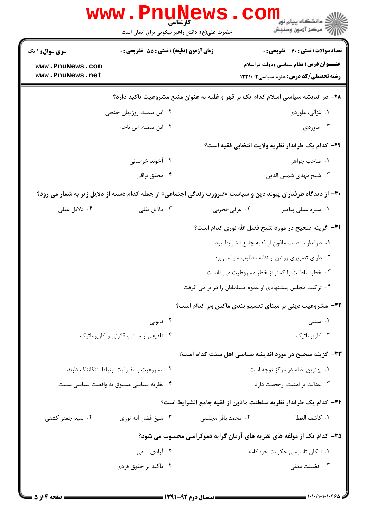|                        | <b>WWW . P</b> I<br>کارشناسی<br>حضرت علی(ع): دانش راهبر نیکویی برای ایمان است                                        |                                                                                   | د دانشگاه پيام نو <mark>ر</mark><br>رآ مرڪز آزمون وسنڊش   |
|------------------------|----------------------------------------------------------------------------------------------------------------------|-----------------------------------------------------------------------------------|-----------------------------------------------------------|
| <b>سری سوال : ۱ یک</b> | <b>زمان آزمون (دقیقه) : تستی : 55 تشریحی : 0</b>                                                                     |                                                                                   | <b>تعداد سوالات : تستي : 40 - تشريحي : 0</b>              |
| www.PnuNews.com        |                                                                                                                      |                                                                                   | <b>عنـــوان درس:</b> نظام سیاسی ودولت دراسلام             |
| www.PnuNews.net        |                                                                                                                      |                                                                                   | <b>رشته تحصیلی/کد درس:</b> علوم سیاسی1۲۳۱۰۰۲              |
|                        |                                                                                                                      | ۲۸– در اندیشه سیاسی اسلام کدام یک بر قهر و غلبه به عنوان منبع مشروعیت تاکید دارد؟ |                                                           |
|                        | ۰۲ ابن تیمیه، روزبهان خنجی                                                                                           |                                                                                   | ٠١ غزالي، ماوردي                                          |
|                        | ۰۴ ابن تیمیه، ابن باجه                                                                                               |                                                                                   | ۰۳ ماوردی                                                 |
|                        |                                                                                                                      |                                                                                   | ٢٩- كدام يك طرفدار نظريه ولايت انتخابي فقيه است؟          |
|                        | ۰۲ آخوند خراسانی                                                                                                     |                                                                                   | ٠١. صاحب جواهر                                            |
|                        | ۰۴ محقق نراقی                                                                                                        |                                                                                   | ۰۳ شیخ مهدی شمس الدین                                     |
|                        | <b>۳۰</b> - از دیدگاه طرفدران پیوند دین و سیاست «ضرورت زندگی اجتماعی» از جمله کدام دسته از دلایل زیر به شمار می رود؟ |                                                                                   |                                                           |
| ۰۴ دلایل عقلی          | ۰۳ دلایل نقلی                                                                                                        | ۰۲ عرفی-تجربی                                                                     | ٠١ سيره عملي پيامبر                                       |
|                        |                                                                                                                      |                                                                                   | <b>٣١-</b> گزينه صحيح در مورد شيخ فضل الله نوري كدام است؟ |
|                        |                                                                                                                      |                                                                                   | ٠١. طرفدار سلطنت ماذون از فقيه جامع الشرايط بود           |
|                        |                                                                                                                      |                                                                                   | ۰۲ دارای تصویری روشن از نظام مطلوب سیاسی بود              |
|                        |                                                                                                                      |                                                                                   | ۰۳ خطر سلطنت را کمتر از خطر مشروطیت می دانست              |
|                        |                                                                                                                      | ۰۴ ترکیب مجلس پیشنهادی او عموم مسلمانان را در بر می گرفت                          |                                                           |
|                        |                                                                                                                      | 32- مشروعیت دینی بر مبنای تقسیم بندی ماکس وبر کدام است؟                           |                                                           |
|                        | ۰۲ قانونی                                                                                                            |                                                                                   | ۰۱ سنتی                                                   |
|                        | ۰۴ تلفیقی از سنتی، قانونی و کاریزماتیک                                                                               |                                                                                   | ۰۳ کاریزماتیک                                             |
|                        |                                                                                                                      | 33- گزینه صحیح در مورد اندیشه سیاسی اهل سنت کدام است؟                             |                                                           |
|                        | ۰۲ مشروعیت و مقبولیت ارتباط تنگاتنگ دارند                                                                            |                                                                                   | ۰۱ بهترین نظام در مرکز توجه است                           |
|                        | ۰۴ نظریه سیاسی مسبوق به واقعیت سیاسی نیست                                                                            |                                                                                   | ٠٣ عدالت بر امنيت ارجحيت دارد                             |
|                        |                                                                                                                      | ۳۴– كدام يك طرفدار نظريه سلطنت ماذون از فقيه جامع الشرايط است؟                    |                                                           |
| ۰۴ سید جعفر کشفی       | ۰۳ شیخ فضل الله نوری                                                                                                 | ۰۲ محمد باقر مجلسی                                                                | ٠١. كاشف الغطا                                            |
|                        |                                                                                                                      | ۳۵- کدام یک از مولفه های نظریه های آرمان گرایه دموکراسی محسوب می شود؟             |                                                           |
|                        | ۰۲ آزادی منفی                                                                                                        |                                                                                   | ۰۱ امکان تاسیسی حکومت خودکامه                             |
|                        | ۰۴ تاکید بر حقوق فردی                                                                                                |                                                                                   | ۰۳ فضیلت مدنی                                             |
|                        |                                                                                                                      |                                                                                   |                                                           |